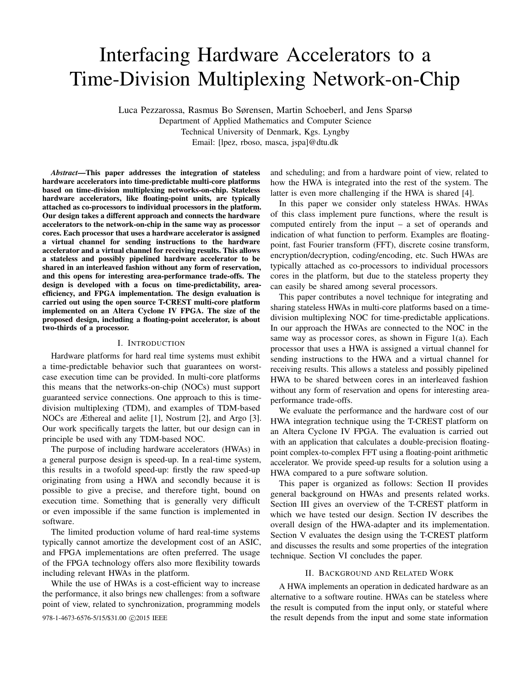# Interfacing Hardware Accelerators to a Time-Division Multiplexing Network-on-Chip

Luca Pezzarossa, Rasmus Bo Sørensen, Martin Schoeberl, and Jens Sparsø Department of Applied Mathematics and Computer Science Technical University of Denmark, Kgs. Lyngby Email: [lpez, rboso, masca, jspa]@dtu.dk

*Abstract*—This paper addresses the integration of stateless hardware accelerators into time-predictable multi-core platforms based on time-division multiplexing networks-on-chip. Stateless hardware accelerators, like floating-point units, are typically attached as co-processors to individual processors in the platform. Our design takes a different approach and connects the hardware accelerators to the network-on-chip in the same way as processor cores. Each processor that uses a hardware accelerator is assigned a virtual channel for sending instructions to the hardware accelerator and a virtual channel for receiving results. This allows a stateless and possibly pipelined hardware accelerator to be shared in an interleaved fashion without any form of reservation, and this opens for interesting area-performance trade-offs. The design is developed with a focus on time-predictability, areaefficiency, and FPGA implementation. The design evaluation is carried out using the open source T-CREST multi-core platform implemented on an Altera Cyclone IV FPGA. The size of the proposed design, including a floating-point accelerator, is about two-thirds of a processor.

# I. INTRODUCTION

Hardware platforms for hard real time systems must exhibit a time-predictable behavior such that guarantees on worstcase execution time can be provided. In multi-core platforms this means that the networks-on-chip (NOCs) must support guaranteed service connections. One approach to this is timedivision multiplexing (TDM), and examples of TDM-based NOCs are Æthereal and aelite [1], Nostrum [2], and Argo [3]. Our work specifically targets the latter, but our design can in principle be used with any TDM-based NOC.

The purpose of including hardware accelerators (HWAs) in a general purpose design is speed-up. In a real-time system, this results in a twofold speed-up: firstly the raw speed-up originating from using a HWA and secondly because it is possible to give a precise, and therefore tight, bound on execution time. Something that is generally very difficult or even impossible if the same function is implemented in software.

The limited production volume of hard real-time systems typically cannot amortize the development cost of an ASIC, and FPGA implementations are often preferred. The usage of the FPGA technology offers also more flexibility towards including relevant HWAs in the platform.

While the use of HWAs is a cost-efficient way to increase the performance, it also brings new challenges: from a software point of view, related to synchronization, programming models

and scheduling; and from a hardware point of view, related to how the HWA is integrated into the rest of the system. The latter is even more challenging if the HWA is shared [4].

In this paper we consider only stateless HWAs. HWAs of this class implement pure functions, where the result is computed entirely from the input – a set of operands and indication of what function to perform. Examples are floatingpoint, fast Fourier transform (FFT), discrete cosine transform, encryption/decryption, coding/encoding, etc. Such HWAs are typically attached as co-processors to individual processors cores in the platform, but due to the stateless property they can easily be shared among several processors.

This paper contributes a novel technique for integrating and sharing stateless HWAs in multi-core platforms based on a timedivision multiplexing NOC for time-predictable applications. In our approach the HWAs are connected to the NOC in the same way as processor cores, as shown in Figure 1(a). Each processor that uses a HWA is assigned a virtual channel for sending instructions to the HWA and a virtual channel for receiving results. This allows a stateless and possibly pipelined HWA to be shared between cores in an interleaved fashion without any form of reservation and opens for interesting areaperformance trade-offs.

We evaluate the performance and the hardware cost of our HWA integration technique using the T-CREST platform on an Altera Cyclone IV FPGA. The evaluation is carried out with an application that calculates a double-precision floatingpoint complex-to-complex FFT using a floating-point arithmetic accelerator. We provide speed-up results for a solution using a HWA compared to a pure software solution.

This paper is organized as follows: Section II provides general background on HWAs and presents related works. Section III gives an overview of the T-CREST platform in which we have tested our design. Section IV describes the overall design of the HWA-adapter and its implementation. Section V evaluates the design using the T-CREST platform and discusses the results and some properties of the integration technique. Section VI concludes the paper.

#### II. BACKGROUND AND RELATED WORK

A HWA implements an operation in dedicated hardware as an alternative to a software routine. HWAs can be stateless where the result is computed from the input only, or stateful where 978-1-4673-6576-5/15/\$31.00  $\odot$ 2015 IEEE the result depends from the input and some state information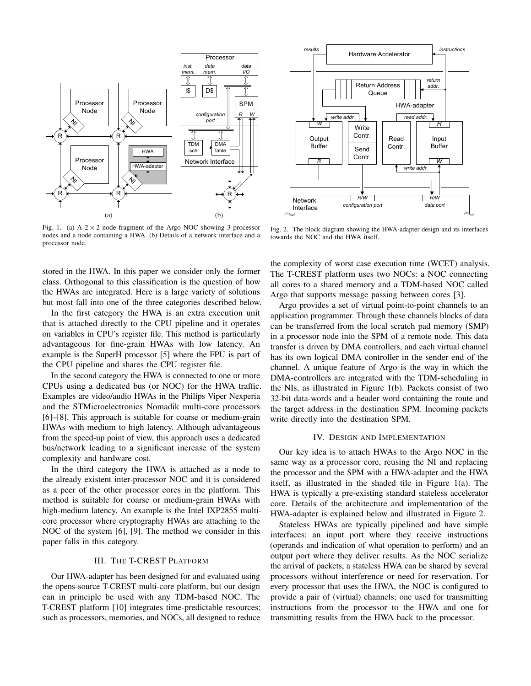

Fig. 1. (a) A  $2 \times 2$  node fragment of the Argo NOC showing 3 processor nodes and a node containing a HWA. (b) Details of a network interface and a processor node.

stored in the HWA. In this paper we consider only the former class. Orthogonal to this classification is the question of how the HWAs are integrated. Here is a large variety of solutions but most fall into one of the three categories described below.

In the first category the HWA is an extra execution unit that is attached directly to the CPU pipeline and it operates on variables in CPU's register file. This method is particularly advantageous for fine-grain HWAs with low latency. An example is the SuperH processor [5] where the FPU is part of the CPU pipeline and shares the CPU register file.

In the second category the HWA is connected to one or more CPUs using a dedicated bus (or NOC) for the HWA traffic. Examples are video/audio HWAs in the Philips Viper Nexperia and the STMicroelectronics Nomadik multi-core processors [6]–[8]. This approach is suitable for coarse or medium-grain HWAs with medium to high latency. Although advantageous from the speed-up point of view, this approach uses a dedicated bus/network leading to a significant increase of the system complexity and hardware cost.

In the third category the HWA is attached as a node to the already existent inter-processor NOC and it is considered as a peer of the other processor cores in the platform. This method is suitable for coarse or medium-grain HWAs with high-medium latency. An example is the Intel IXP2855 multicore processor where cryptography HWAs are attaching to the NOC of the system [6], [9]. The method we consider in this paper falls in this category.

# III. THE T-CREST PLATFORM

Our HWA-adapter has been designed for and evaluated using the opens-source T-CREST multi-core platform, but our design can in principle be used with any TDM-based NOC. The T-CREST platform [10] integrates time-predictable resources; such as processors, memories, and NOCs, all designed to reduce



Fig. 2. The block diagram showing the HWA-adapter design and its interfaces towards the NOC and the HWA itself.

the complexity of worst case execution time (WCET) analysis. The T-CREST platform uses two NOCs: a NOC connecting all cores to a shared memory and a TDM-based NOC called Argo that supports message passing between cores [3].

Argo provides a set of virtual point-to-point channels to an application programmer. Through these channels blocks of data can be transferred from the local scratch pad memory (SMP) in a processor node into the SPM of a remote node. This data transfer is driven by DMA controllers, and each virtual channel has its own logical DMA controller in the sender end of the channel. A unique feature of Argo is the way in which the DMA-controllers are integrated with the TDM-scheduling in the NIs, as illustrated in Figure 1(b). Packets consist of two 32-bit data-words and a header word containing the route and the target address in the destination SPM. Incoming packets write directly into the destination SPM.

## IV. DESIGN AND IMPLEMENTATION

Our key idea is to attach HWAs to the Argo NOC in the same way as a processor core, reusing the NI and replacing the processor and the SPM with a HWA-adapter and the HWA itself, as illustrated in the shaded tile in Figure 1(a). The HWA is typically a pre-existing standard stateless accelerator core. Details of the architecture and implementation of the HWA-adapter is explained below and illustrated in Figure 2.

Stateless HWAs are typically pipelined and have simple interfaces: an input port where they receive instructions (operands and indication of what operation to perform) and an output port where they deliver results. As the NOC serialize the arrival of packets, a stateless HWA can be shared by several processors without interference or need for reservation. For every processor that uses the HWA, the NOC is configured to provide a pair of (virtual) channels; one used for transmitting instructions from the processor to the HWA and one for transmitting results from the HWA back to the processor.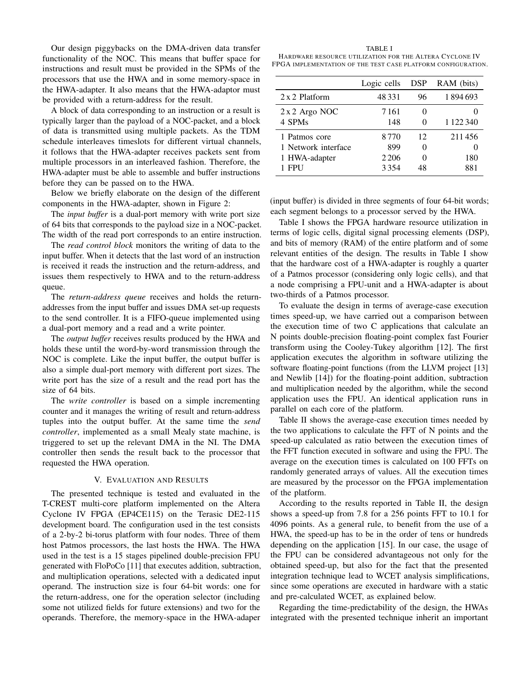Our design piggybacks on the DMA-driven data transfer functionality of the NOC. This means that buffer space for instructions and result must be provided in the SPMs of the processors that use the HWA and in some memory-space in the HWA-adapter. It also means that the HWA-adaptor must be provided with a return-address for the result.

A block of data corresponding to an instruction or a result is typically larger than the payload of a NOC-packet, and a block of data is transmitted using multiple packets. As the TDM schedule interleaves timeslots for different virtual channels, it follows that the HWA-adapter receives packets sent from multiple processors in an interleaved fashion. Therefore, the HWA-adapter must be able to assemble and buffer instructions before they can be passed on to the HWA.

Below we briefly elaborate on the design of the different components in the HWA-adapter, shown in Figure 2:

The *input buffer* is a dual-port memory with write port size of 64 bits that corresponds to the payload size in a NOC-packet. The width of the read port corresponds to an entire instruction.

The *read control block* monitors the writing of data to the input buffer. When it detects that the last word of an instruction is received it reads the instruction and the return-address, and issues them respectively to HWA and to the return-address queue.

The *return-address queue* receives and holds the returnaddresses from the input buffer and issues DMA set-up requests to the send controller. It is a FIFO-queue implemented using a dual-port memory and a read and a write pointer.

The *output buffer* receives results produced by the HWA and holds these until the word-by-word transmission through the NOC is complete. Like the input buffer, the output buffer is also a simple dual-port memory with different port sizes. The write port has the size of a result and the read port has the size of 64 bits.

The *write controller* is based on a simple incrementing counter and it manages the writing of result and return-address tuples into the output buffer. At the same time the *send controller*, implemented as a small Mealy state machine, is triggered to set up the relevant DMA in the NI. The DMA controller then sends the result back to the processor that requested the HWA operation.

## V. EVALUATION AND RESULTS

The presented technique is tested and evaluated in the T-CREST multi-core platform implemented on the Altera Cyclone IV FPGA (EP4CE115) on the Terasic DE2-115 development board. The configuration used in the test consists of a 2-by-2 bi-torus platform with four nodes. Three of them host Patmos processors, the last hosts the HWA. The HWA used in the test is a 15 stages pipelined double-precision FPU generated with FloPoCo [11] that executes addition, subtraction, and multiplication operations, selected with a dedicated input operand. The instruction size is four 64-bit words: one for the return-address, one for the operation selector (including some not utilized fields for future extensions) and two for the operands. Therefore, the memory-space in the HWA-adaper

TABLE I HARDWARE RESOURCE UTILIZATION FOR THE ALTERA CYCLONE IV FPGA IMPLEMENTATION OF THE TEST CASE PLATFORM CONFIGURATION.

|                                                                     | Logic cells                    | <b>DSP</b> | RAM (bits)           |
|---------------------------------------------------------------------|--------------------------------|------------|----------------------|
| 2 x 2 Platform                                                      | 48 3 3 1                       | 96         | 1894693              |
| $2 x 2$ Argo NOC<br>4 SPMs                                          | 7161<br>148                    |            | 1 1 2 2 3 4 0        |
| 1 Patmos core<br>1 Network interface<br>1 HWA-adapter<br><b>FPU</b> | 8770<br>899<br>2 2 0 6<br>3354 | 12<br>48   | 211456<br>180<br>881 |

(input buffer) is divided in three segments of four 64-bit words; each segment belongs to a processor served by the HWA.

Table I shows the FPGA hardware resource utilization in terms of logic cells, digital signal processing elements (DSP), and bits of memory (RAM) of the entire platform and of some relevant entities of the design. The results in Table I show that the hardware cost of a HWA-adapter is roughly a quarter of a Patmos processor (considering only logic cells), and that a node comprising a FPU-unit and a HWA-adapter is about two-thirds of a Patmos processor.

To evaluate the design in terms of average-case execution times speed-up, we have carried out a comparison between the execution time of two C applications that calculate an N points double-precision floating-point complex fast Fourier transform using the Cooley-Tukey algorithm [12]. The first application executes the algorithm in software utilizing the software floating-point functions (from the LLVM project [13] and Newlib [14]) for the floating-point addition, subtraction and multiplication needed by the algorithm, while the second application uses the FPU. An identical application runs in parallel on each core of the platform.

Table II shows the average-case execution times needed by the two applications to calculate the FFT of N points and the speed-up calculated as ratio between the execution times of the FFT function executed in software and using the FPU. The average on the execution times is calculated on 100 FFTs on randomly generated arrays of values. All the execution times are measured by the processor on the FPGA implementation of the platform.

According to the results reported in Table II, the design shows a speed-up from 7.8 for a 256 points FFT to 10.1 for 4096 points. As a general rule, to benefit from the use of a HWA, the speed-up has to be in the order of tens or hundreds depending on the application [15]. In our case, the usage of the FPU can be considered advantageous not only for the obtained speed-up, but also for the fact that the presented integration technique lead to WCET analysis simplifications, since some operations are executed in hardware with a static and pre-calculated WCET, as explained below.

Regarding the time-predictability of the design, the HWAs integrated with the presented technique inherit an important